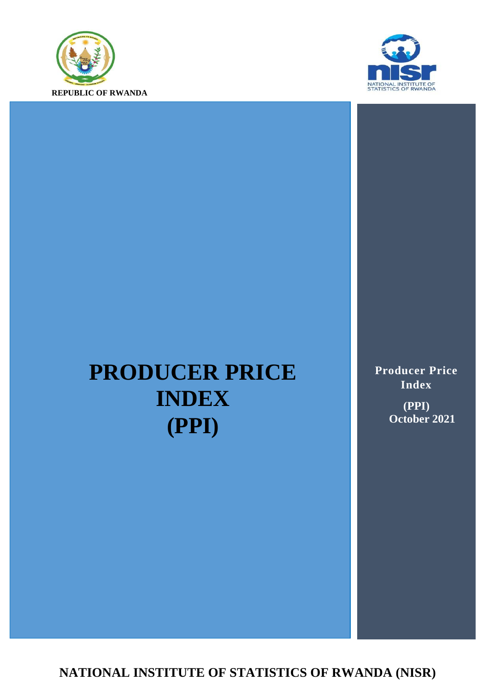



# **PRODUCER PRICE INDEX (PPI)**

**Producer Price Index (PPI) October 2021**

**NATIONAL INSTITUTE OF STATISTICS OF RWANDA (NISR)**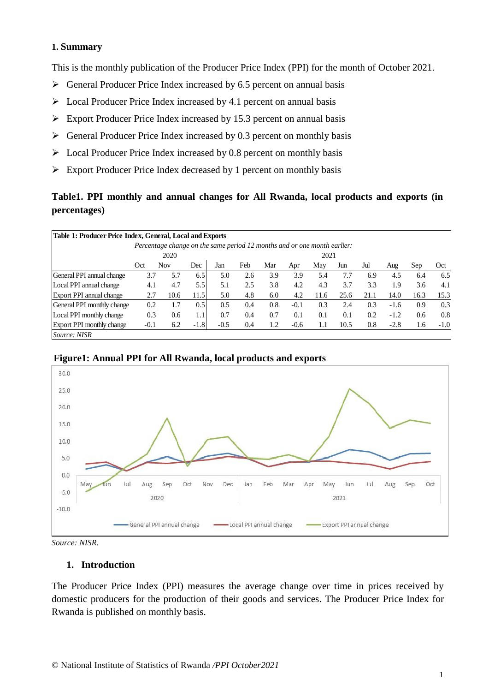#### **1. Summary**

This is the monthly publication of the Producer Price Index (PPI) for the month of October 2021.

- $\triangleright$  General Producer Price Index increased by 6.5 percent on annual basis
- $\triangleright$  Local Producer Price Index increased by 4.1 percent on annual basis
- $\triangleright$  Export Producer Price Index increased by 15.3 percent on annual basis
- $\triangleright$  General Producer Price Index increased by 0.3 percent on monthly basis
- $\triangleright$  Local Producer Price Index increased by 0.8 percent on monthly basis
- $\triangleright$  Export Producer Price Index decreased by 1 percent on monthly basis

# **Table1. PPI monthly and annual changes for All Rwanda, local products and exports (in percentages)**

| Table 1: Producer Price Index, General, Local and Exports                |        |            |        |        |     |      |        |      |      |      |        |      |        |
|--------------------------------------------------------------------------|--------|------------|--------|--------|-----|------|--------|------|------|------|--------|------|--------|
| Percentage change on the same period 12 months and or one month earlier: |        |            |        |        |     |      |        |      |      |      |        |      |        |
|                                                                          | 2020   |            |        |        |     | 2021 |        |      |      |      |        |      |        |
|                                                                          | Oct    | <b>Nov</b> | Dec    | Jan    | Feb | Mar  | Apr    | May  | Jun  | Jul  | Aug    | Sep  | Oct    |
| General PPI annual change                                                | 3.7    | 5.7        | 6.5    | 5.0    | 2.6 | 3.9  | 3.9    | 5.4  | 7.7  | 6.9  | 4.5    | 6.4  | 6.5    |
| Local PPI annual change                                                  | 4.1    | 4.7        | 5.5    | 5.1    | 2.5 | 3.8  | 4.2    | 4.3  | 3.7  | 3.3  | 1.9    | 3.6  | 4.1    |
| Export PPI annual change                                                 | 2.7    | 10.6       | 11.5   | 5.0    | 4.8 | 6.0  | 4.2    | 11.6 | 25.6 | 21.1 | 14.0   | 16.3 | 15.3   |
| General PPI monthly change                                               | 0.2    | 1.7        | 0.5    | 0.5    | 0.4 | 0.8  | $-0.1$ | 0.3  | 2.4  | 0.3  | $-1.6$ | 0.9  | 0.3    |
| Local PPI monthly change                                                 | 0.3    | 0.6        | 1.1    | 0.7    | 0.4 | 0.7  | 0.1    | 0.1  | 0.1  | 0.2  | $-1.2$ | 0.6  | 0.8    |
| Export PPI monthly change                                                | $-0.1$ | 6.2        | $-1.8$ | $-0.5$ | 0.4 | 1.2  | $-0.6$ | 1.1  | 10.5 | 0.8  | $-2.8$ | 1.6  | $-1.0$ |
| Source: NISR                                                             |        |            |        |        |     |      |        |      |      |      |        |      |        |





*Source: NISR.*

#### **1. Introduction**

The Producer Price Index (PPI) measures the average change over time in prices received by domestic producers for the production of their goods and services. The Producer Price Index for Rwanda is published on monthly basis.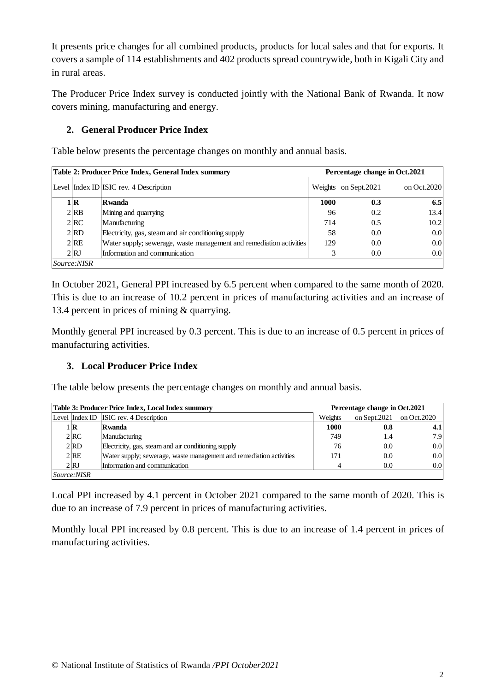It presents price changes for all combined products, products for local sales and that for exports. It covers a sample of 114 establishments and 402 products spread countrywide, both in Kigali City and in rural areas.

The Producer Price Index survey is conducted jointly with the National Bank of Rwanda. It now covers mining, manufacturing and energy.

# **2. General Producer Price Index**

Table below presents the percentage changes on monthly and annual basis.

|                   | Table 2: Producer Price Index, General Index summary                | Percentage change in Oct.2021 |                       |              |  |  |
|-------------------|---------------------------------------------------------------------|-------------------------------|-----------------------|--------------|--|--|
|                   | Level Index ID ISIC rev. 4 Description                              |                               | Weights on Sept. 2021 | on Oct. 2020 |  |  |
| 1 R               | <b>R</b> wanda                                                      | 1000                          | 0.3                   | 6.5          |  |  |
| $2$ <sub>RB</sub> | Mining and quarrying                                                | 96                            | 0.2                   | 13.4         |  |  |
| 2 RC              | Manufacturing                                                       | 714                           | 0.5                   | 10.2         |  |  |
| 2 RD              | Electricity, gas, steam and air conditioning supply                 | 58                            | 0.0                   | 0.0          |  |  |
| 2RE               | Water supply; sewerage, waste management and remediation activities | 129                           | 0.0                   | 0.0          |  |  |
| 2RJ               | Information and communication                                       |                               | 0.0                   | 0.0          |  |  |
| Source:NISR       |                                                                     |                               |                       |              |  |  |

In October 2021, General PPI increased by 6.5 percent when compared to the same month of 2020. This is due to an increase of 10.2 percent in prices of manufacturing activities and an increase of 13.4 percent in prices of mining & quarrying.

Monthly general PPI increased by 0.3 percent. This is due to an increase of 0.5 percent in prices of manufacturing activities.

## **3. Local Producer Price Index**

The table below presents the percentage changes on monthly and annual basis.

|                    | Table 3: Producer Price Index, Local Index summary                  |         | Percentage change in Oct.2021 |                  |  |  |  |
|--------------------|---------------------------------------------------------------------|---------|-------------------------------|------------------|--|--|--|
|                    | Level Index ID ISIC rev. 4 Description                              | Weights | on Sept. 2021                 | on Oct.2020      |  |  |  |
| 1 R                | Rwanda                                                              | 1000    | 0.8                           | 4.1 <sub>l</sub> |  |  |  |
| 2 RC               | Manufacturing                                                       | 749     | 1.4                           | 7.9              |  |  |  |
| $2$ <sub>RD</sub>  | Electricity, gas, steam and air conditioning supply                 | 76      | 0.0                           | 0.0              |  |  |  |
| 2RE                | Water supply; sewerage, waste management and remediation activities | 171     | 0.0                           | 0.0              |  |  |  |
| 2RJ                | Information and communication                                       | Δ       | 0.0                           | 0.0              |  |  |  |
| <i>Source:NISR</i> |                                                                     |         |                               |                  |  |  |  |

Local PPI increased by 4.1 percent in October 2021 compared to the same month of 2020. This is due to an increase of 7.9 percent in prices of manufacturing activities.

Monthly local PPI increased by 0.8 percent. This is due to an increase of 1.4 percent in prices of manufacturing activities.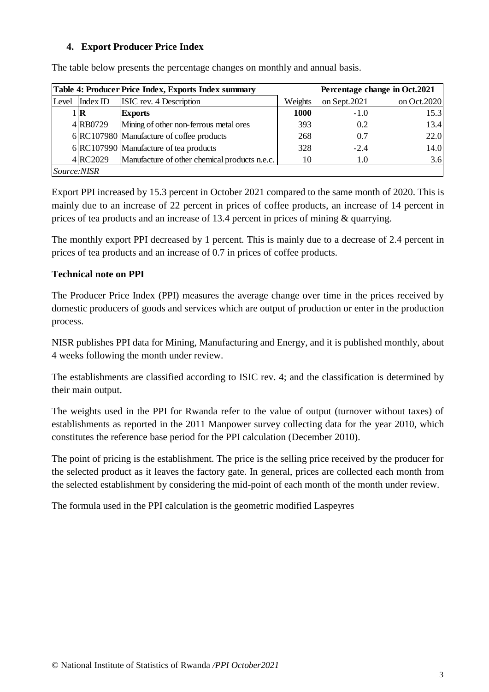## **4. Export Producer Price Index**

|                    |          | Table 4: Producer Price Index, Exports Index summary |             |              | Percentage change in Oct.2021 |
|--------------------|----------|------------------------------------------------------|-------------|--------------|-------------------------------|
| Level              | Index ID | ISIC rev. 4 Description                              | Weights     | on Sept.2021 | on Oct. 2020                  |
|                    | . IR     | <b>Exports</b>                                       | <b>1000</b> | $-1.0$       | 15.3                          |
|                    | 4RB0729  | Mining of other non-ferrous metal ores               | 393         | 0.2          | 13.4                          |
|                    |          | 6 RC107980 Manufacture of coffee products            | 268         | 0.7          | 22.0                          |
|                    |          | $6 RC107990 $ Manufacture of tea products            | 328         | $-2.4$       | 14.0                          |
|                    | 4RC2029  | Manufacture of other chemical products n.e.c.        | 10          | 1.0          | 3.6                           |
| <i>Source:NISR</i> |          |                                                      |             |              |                               |

The table below presents the percentage changes on monthly and annual basis.

Export PPI increased by 15.3 percent in October 2021 compared to the same month of 2020. This is mainly due to an increase of 22 percent in prices of coffee products, an increase of 14 percent in prices of tea products and an increase of 13.4 percent in prices of mining & quarrying.

The monthly export PPI decreased by 1 percent. This is mainly due to a decrease of 2.4 percent in prices of tea products and an increase of 0.7 in prices of coffee products.

## **Technical note on PPI**

The Producer Price Index (PPI) measures the average change over time in the prices received by domestic producers of goods and services which are output of production or enter in the production process.

NISR publishes PPI data for Mining, Manufacturing and Energy, and it is published monthly, about 4 weeks following the month under review.

The establishments are classified according to ISIC rev. 4; and the classification is determined by their main output.

The weights used in the PPI for Rwanda refer to the value of output (turnover without taxes) of establishments as reported in the 2011 Manpower survey collecting data for the year 2010, which constitutes the reference base period for the PPI calculation (December 2010).

The point of pricing is the establishment. The price is the selling price received by the producer for the selected product as it leaves the factory gate. In general, prices are collected each month from the selected establishment by considering the mid-point of each month of the month under review.

The formula used in the PPI calculation is the geometric modified Laspeyres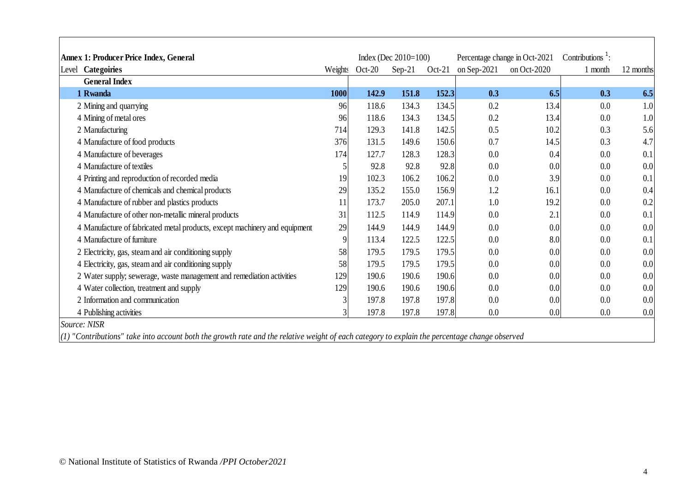| Annex 1: Producer Price Index, General                                     |         |          | Index (Dec $2010=100$ ) |          |             | Percentage change in Oct-2021 | Contributions $\frac{1}{1}$ : |           |
|----------------------------------------------------------------------------|---------|----------|-------------------------|----------|-------------|-------------------------------|-------------------------------|-----------|
| <b>Categoiries</b><br>Level                                                | Weights | $Oct-20$ | $Sep-21$                | $Oct-21$ | on Sep-2021 | on Oct-2020                   | 1 month                       | 12 months |
| <b>General Index</b>                                                       |         |          |                         |          |             |                               |                               |           |
| 1 Rwanda                                                                   | 1000    | 142.9    | 151.8                   | 152.3    | 0.3         | 6.5                           | 0.3                           | 6.5       |
| 2 Mining and quarrying                                                     | 96      | 118.6    | 134.3                   | 134.5    | 0.2         | 13.4                          | 0.0                           | 1.0       |
| 4 Mining of metal ores                                                     | 96      | 118.6    | 134.3                   | 134.5    | 0.2         | 13.4                          | 0.0                           | 1.0       |
| 2 Manufacturing                                                            | 714     | 129.3    | 141.8                   | 142.5    | 0.5         | 10.2                          | 0.3                           | 5.6       |
| 4 Manufacture of food products                                             | 376     | 131.5    | 149.6                   | 150.6    | 0.7         | 14.5                          | 0.3                           | 4.7       |
| 4 Manufacture of beverages                                                 | 174     | 127.7    | 128.3                   | 128.3    | 0.0         | 0.4                           | 0.0                           | 0.1       |
| 4 Manufacture of textiles                                                  |         | 92.8     | 92.8                    | 92.8     | 0.0         | 0.0                           | 0.0                           | 0.0       |
| 4 Printing and reproduction of recorded media                              | 19      | 102.3    | 106.2                   | 106.2    | 0.0         | 3.9                           | 0.0                           | 0.1       |
| 4 Manufacture of chemicals and chemical products                           | 29      | 135.2    | 155.0                   | 156.9    | 1.2         | 16.1                          | 0.0                           | 0.4       |
| 4 Manufacture of rubber and plastics products                              | 11      | 173.7    | 205.0                   | 207.1    | 1.0         | 19.2                          | 0.0                           | 0.2       |
| 4 Manufacture of other non-metallic mineral products                       | 31      | 112.5    | 114.9                   | 114.9    | 0.0         | 2.1                           | 0.0                           | 0.1       |
| 4 Manufacture of fabricated metal products, except machinery and equipment | 29      | 144.9    | 144.9                   | 144.9    | 0.0         | 0.0                           | 0.0                           | 0.0       |
| 4 Manufacture of furniture                                                 |         | 113.4    | 122.5                   | 122.5    | 0.0         | 8.0                           | 0.0                           | 0.1       |
| 2 Electricity, gas, steam and air conditioning supply                      | 58      | 179.5    | 179.5                   | 179.5    | 0.0         | 0.0                           | 0.0                           | 0.0       |
| 4 Electricity, gas, steam and air conditioning supply                      | 58      | 179.5    | 179.5                   | 179.5    | 0.0         | 0.0                           | 0.0                           | 0.0       |
| 2 Water supply; sewerage, waste management and remediation activities      | 129     | 190.6    | 190.6                   | 190.6    | 0.0         | 0.0                           | 0.0                           | 0.0       |
| 4 Water collection, treatment and supply                                   | 129     | 190.6    | 190.6                   | 190.6    | 0.0         | 0.0                           | 0.0                           | 0.0       |
| 2 Information and communication                                            |         | 197.8    | 197.8                   | 197.8    | 0.0         | 0.0                           | 0.0                           | 0.0       |
| 4 Publishing activities                                                    |         | 197.8    | 197.8                   | 197.8    | 0.0         | 0.0                           | 0.0                           | 0.0       |
| Source: NISR                                                               |         |          |                         |          |             |                               |                               |           |

*(1) "Contributions" take into account both the growth rate and the relative weight of each category to explain the percentage change observed*

 $\Gamma$ 

J.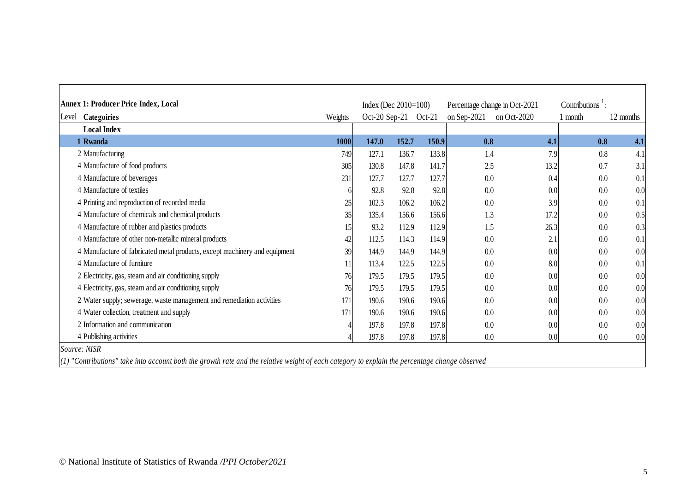| <b>Annex 1: Producer Price Index, Local</b>                                |         | Index (Dec $2010=100$ ) |       |          | Percentage change in Oct-2021 |             | Contributions $^1$ : |           |
|----------------------------------------------------------------------------|---------|-------------------------|-------|----------|-------------------------------|-------------|----------------------|-----------|
| Categoiries<br>Level                                                       | Weights | Oct-20 Sep-21           |       | $Oct-21$ | on Sep-2021                   | on Oct-2020 | 1 month              | 12 months |
| <b>Local Index</b>                                                         |         |                         |       |          |                               |             |                      |           |
| 1 Rwanda                                                                   | 1000    | 147.0                   | 152.7 | 150.9    | 0.8                           | 4.1         | 0.8                  | 4.1       |
| 2 Manufacturing                                                            | 749     | 127.1                   | 136.7 | 133.8    | 1.4                           | 7.9         | 0.8                  | 4.1       |
| 4 Manufacture of food products                                             | 305     | 130.8                   | 147.8 | 141.7    | 2.5                           | 13.2        | 0.7                  | 3.1       |
| 4 Manufacture of beverages                                                 | 231     | 127.7                   | 127.7 | 127.7    | 0.0                           | 0.4         | 0.0                  | 0.1       |
| 4 Manufacture of textiles                                                  | 6       | 92.8                    | 92.8  | 92.8     | 0.0                           | 0.0         | 0.0                  | 0.0       |
| 4 Printing and reproduction of recorded media                              | 25      | 102.3                   | 106.2 | 106.2    | 0.0                           | 3.9         | 0.0                  | 0.1       |
| 4 Manufacture of chemicals and chemical products                           | 35      | 135.4                   | 156.6 | 156.6    | 1.3                           | 17.2        | 0.0                  | 0.5       |
| 4 Manufacture of rubber and plastics products                              | 15      | 93.2                    | 112.9 | 112.9    | 1.5                           | 26.3        | 0.0                  | 0.3       |
| 4 Manufacture of other non-metallic mineral products                       | 42      | 112.5                   | 114.3 | 114.9    | 0.0                           | 2.1         | $0.0\,$              | 0.1       |
| 4 Manufacture of fabricated metal products, except machinery and equipment | 39      | 144.9                   | 144.9 | 144.9    | 0.0                           | 0.0         | 0.0                  | 0.0       |
| 4 Manufacture of furniture                                                 | 11      | 113.4                   | 122.5 | 122.5    | 0.0                           | 8.0         | 0.0                  | 0.1       |
| 2 Electricity, gas, steam and air conditioning supply                      | 76      | 179.5                   | 179.5 | 179.5    | 0.0                           | 0.0         | 0.0                  | 0.0       |
| 4 Electricity, gas, steam and air conditioning supply                      | 76      | 179.5                   | 179.5 | 179.5    | 0.0                           | 0.0         | 0.0                  | 0.0       |
| 2 Water supply; sewerage, waste management and remediation activities      | 171     | 190.6                   | 190.6 | 190.6    | 0.0                           | 0.0         | $0.0\,$              | 0.0       |
| 4 Water collection, treatment and supply                                   | 171     | 190.6                   | 190.6 | 190.6    | 0.0                           | 0.0         | 0.0                  | 0.0       |
| 2 Information and communication                                            |         | 197.8                   | 197.8 | 197.8    | 0.0                           | 0.0         | 0.0                  | 0.0       |
| 4 Publishing activities                                                    |         | 197.8                   | 197.8 | 197.8    | 0.0                           | 0.0         | 0.0                  | 0.0       |

*(1) "Contributions" take into account both the growth rate and the relative weight of each category to explain the percentage change observed*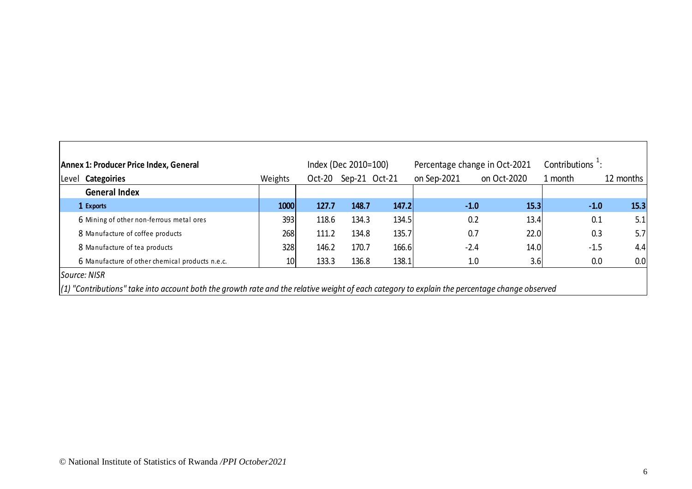|                                                 |                 |          | Index (Dec 2010=100) |       |             | Percentage change in Oct-2021 | Contributions $\pm$ : |           |
|-------------------------------------------------|-----------------|----------|----------------------|-------|-------------|-------------------------------|-----------------------|-----------|
| <b>Categoiries</b><br>Level                     | Weights         | $Oct-20$ | Sep-21 Oct-21        |       | on Sep-2021 | on Oct-2020                   | 1 month               | 12 months |
| <b>General Index</b>                            |                 |          |                      |       |             |                               |                       |           |
| 1 Exports                                       | 1000            | 127.7    | 148.7                | 147.2 |             | $-1.0$<br>15.3                | $-1.0$                | 15.3      |
| 6 Mining of other non-ferrous metal ores        | 393             | 118.6    | 134.3                | 134.5 |             | 0.2<br>13.4                   | 0.1                   | 5.1       |
| 8 Manufacture of coffee products                | 268             | 111.2    | 134.8                | 135.7 |             | 0.7<br>22.0                   | 0.3                   | 5.7       |
| 8 Manufacture of tea products                   | 328             | 146.2    | 170.7                | 166.6 |             | $-2.4$<br>14.0                | $-1.5$                | 4.4       |
| 6 Manufacture of other chemical products n.e.c. | 10 <sup>1</sup> | 133.3    | 136.8                | 138.1 |             | 3.6<br>1.0                    | 0.0                   | 0.0       |
| Source: NISR                                    |                 |          |                      |       |             |                               |                       |           |